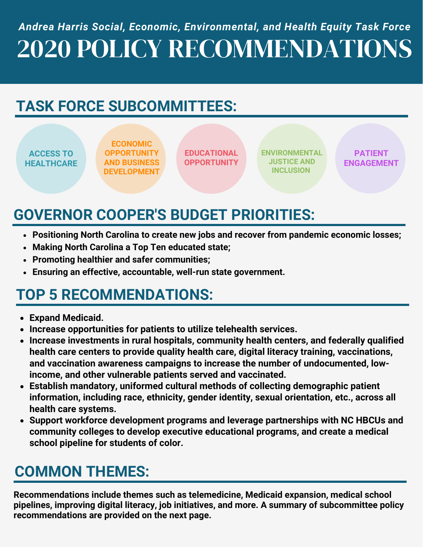# *Andrea Harris Social, Economic, Environmental, and Health Equity Task Force* 2020 POLICY RECOMMENDATIONS

### **TASK FORCE SUBCOMMITTEES:**

**ACCESS TO HEALTHCARE**

**ECONOMIC OPPORTUNITY AND BUSINESS DEVELOPMENT**

**EDUCATIONAL OPPORTUNITY**

**ENVIRONMENTAL JUSTICE AND INCLUSION**

**PATIENT ENGAGEMENT**

## **GOVERNOR COOPER'S BUDGET PRIORITIES:**

- **Positioning North Carolina to create new jobs and recover from pandemic economic losses;**
- **Making North Carolina a Top Ten educated state;**
- **Promoting healthier and safer communities;**
- **Ensuring an effective, accountable, well-run state government.**

## **TOP 5 RECOMMENDATIONS:**

- **Expand Medicaid.**
- **Increase opportunities for patients to utilize telehealth services.**
- **Increase investments in rural hospitals, community health centers, and federally qualified health care centers to provide quality health care, digital literacy training, vaccinations, and vaccination awareness campaigns to increase the number of undocumented, lowincome, and other vulnerable patients served and vaccinated.**
- **Establish mandatory, uniformed cultural methods of collecting demographic patient information, including race, ethnicity, gender identity, sexual orientation, etc., across all health care systems.**
- **Support workforce development programs and leverage partnerships with NC HBCUs and community colleges to develop executive educational programs, and create a medical school pipeline for students of color.**

### **COMMON THEMES:**

**Recommendations include themes such as telemedicine, Medicaid expansion, medical school pipelines, improving digital literacy, job initiatives, and more. A summary of subcommittee policy recommendations are provided on the next page.**